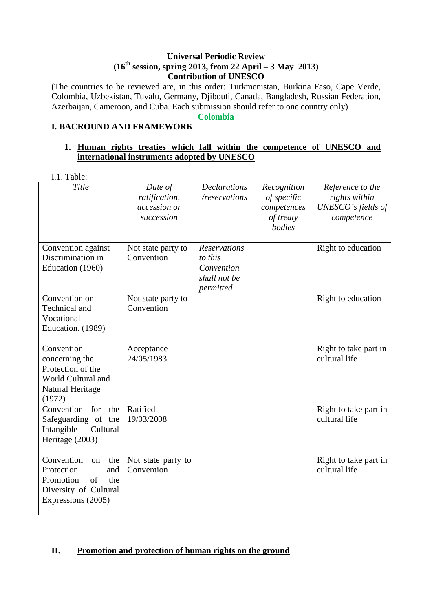#### **Universal Periodic Review (16th session, spring 2013, from 22 April – 3 May 2013) Contribution of UNESCO**

(The countries to be reviewed are, in this order: Turkmenistan, Burkina Faso, Cape Verde, Colombia, Uzbekistan, Tuvalu, Germany, Djibouti, Canada, Bangladesh, Russian Federation, Azerbaijan, Cameroon, and Cuba. Each submission should refer to one country only)

**Colombia** 

# **I. BACROUND AND FRAMEWORK**

#### **1. Human rights treaties which fall within the competence of UNESCO and international instruments adopted by UNESCO**

I.1. Table:

| Title                                                                                                                 | Date of<br>ratification,<br>accession or<br>succession | <b>Declarations</b><br>/reservations                                      | Recognition<br>of specific<br>competences<br>of treaty<br>bodies | Reference to the<br>rights within<br>UNESCO's fields of<br>competence |
|-----------------------------------------------------------------------------------------------------------------------|--------------------------------------------------------|---------------------------------------------------------------------------|------------------------------------------------------------------|-----------------------------------------------------------------------|
| Convention against<br>Discrimination in<br>Education (1960)                                                           | Not state party to<br>Convention                       | <b>Reservations</b><br>to this<br>Convention<br>shall not be<br>permitted |                                                                  | Right to education                                                    |
| Convention on<br>Technical and<br>Vocational<br>Education. (1989)                                                     | Not state party to<br>Convention                       |                                                                           |                                                                  | Right to education                                                    |
| Convention<br>concerning the<br>Protection of the<br>World Cultural and<br>Natural Heritage<br>(1972)                 | Acceptance<br>24/05/1983                               |                                                                           |                                                                  | Right to take part in<br>cultural life                                |
| Convention<br>for<br>the<br>Safeguarding of the<br>Intangible<br>Cultural<br>Heritage (2003)                          | Ratified<br>19/03/2008                                 |                                                                           |                                                                  | Right to take part in<br>cultural life                                |
| Convention<br>the<br>on<br>Protection<br>and<br>Promotion<br>of<br>the<br>Diversity of Cultural<br>Expressions (2005) | Not state party to<br>Convention                       |                                                                           |                                                                  | Right to take part in<br>cultural life                                |

### **II. Promotion and protection of human rights on the ground**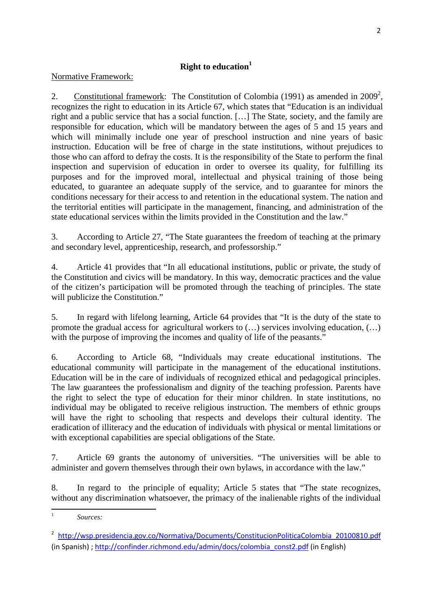# **Right to education<sup>1</sup>**

### Normative Framework:

2. Constitutional framework: The Constitution of Colombia (1991) as amended in 2009<sup>2</sup>, recognizes the right to education in its Article 67, which states that "Education is an individual right and a public service that has a social function. […] The State, society, and the family are responsible for education, which will be mandatory between the ages of 5 and 15 years and which will minimally include one year of preschool instruction and nine years of basic instruction. Education will be free of charge in the state institutions, without prejudices to those who can afford to defray the costs. It is the responsibility of the State to perform the final inspection and supervision of education in order to oversee its quality, for fulfilling its purposes and for the improved moral, intellectual and physical training of those being educated, to guarantee an adequate supply of the service, and to guarantee for minors the conditions necessary for their access to and retention in the educational system. The nation and the territorial entities will participate in the management, financing, and administration of the state educational services within the limits provided in the Constitution and the law."

3. According to Article 27, "The State guarantees the freedom of teaching at the primary and secondary level, apprenticeship, research, and professorship."

4. Article 41 provides that "In all educational institutions, public or private, the study of the Constitution and civics will be mandatory. In this way, democratic practices and the value of the citizen's participation will be promoted through the teaching of principles. The state will publicize the Constitution."

5. In regard with lifelong learning, Article 64 provides that "It is the duty of the state to promote the gradual access for agricultural workers to (…) services involving education, (…) with the purpose of improving the incomes and quality of life of the peasants."

6. According to Article 68, "Individuals may create educational institutions. The educational community will participate in the management of the educational institutions. Education will be in the care of individuals of recognized ethical and pedagogical principles. The law guarantees the professionalism and dignity of the teaching profession. Parents have the right to select the type of education for their minor children. In state institutions, no individual may be obligated to receive religious instruction. The members of ethnic groups will have the right to schooling that respects and develops their cultural identity. The eradication of illiteracy and the education of individuals with physical or mental limitations or with exceptional capabilities are special obligations of the State.

7. Article 69 grants the autonomy of universities. "The universities will be able to administer and govern themselves through their own bylaws, in accordance with the law."

8. In regard to the principle of equality; Article 5 states that "The state recognizes, without any discrimination whatsoever, the primacy of the inalienable rights of the individual

 1  *Sources:* 

<sup>&</sup>lt;sup>2</sup> http://wsp.presidencia.gov.co/Normativa/Documents/ConstitucionPoliticaColombia\_20100810.pdf (in Spanish) ; http://confinder.richmond.edu/admin/docs/colombia\_const2.pdf (in English)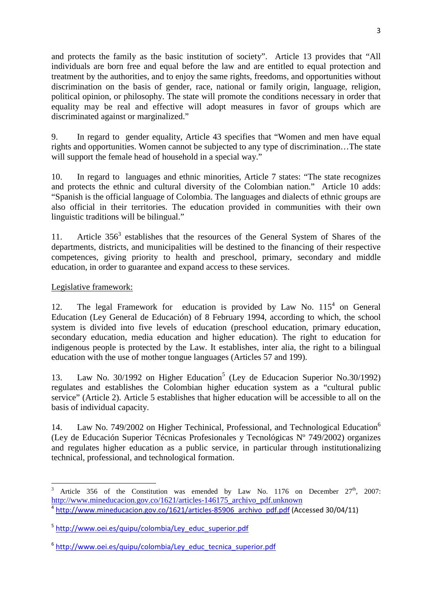and protects the family as the basic institution of society". Article 13 provides that "All individuals are born free and equal before the law and are entitled to equal protection and treatment by the authorities, and to enjoy the same rights, freedoms, and opportunities without discrimination on the basis of gender, race, national or family origin, language, religion, political opinion, or philosophy. The state will promote the conditions necessary in order that equality may be real and effective will adopt measures in favor of groups which are discriminated against or marginalized."

9. In regard to gender equality, Article 43 specifies that "Women and men have equal rights and opportunities. Women cannot be subjected to any type of discrimination…The state will support the female head of household in a special way."

10. In regard to languages and ethnic minorities, Article 7 states: "The state recognizes and protects the ethnic and cultural diversity of the Colombian nation." Article 10 adds: "Spanish is the official language of Colombia. The languages and dialects of ethnic groups are also official in their territories. The education provided in communities with their own linguistic traditions will be bilingual."

11. Article  $356<sup>3</sup>$  establishes that the resources of the General System of Shares of the departments, districts, and municipalities will be destined to the financing of their respective competences, giving priority to health and preschool, primary, secondary and middle education, in order to guarantee and expand access to these services.

#### Legislative framework:

l

12. The legal Framework for education is provided by Law No.  $115<sup>4</sup>$  on General Education (Ley General de Educación) of 8 February 1994, according to which, the school system is divided into five levels of education (preschool education, primary education, secondary education, media education and higher education). The right to education for indigenous people is protected by the Law. It establishes, inter alia, the right to a bilingual education with the use of mother tongue languages (Articles 57 and 199).

13. Law No. 30/1992 on Higher Education<sup>5</sup> (Ley de Educacion Superior No.30/1992) regulates and establishes the Colombian higher education system as a "cultural public service" (Article 2). Article 5 establishes that higher education will be accessible to all on the basis of individual capacity.

14. Law No. 749/2002 on Higher Techinical, Professional, and Technological Education<sup>6</sup> (Ley de Educación Superior Técnicas Profesionales y Tecnológicas Nº 749/2002) organizes and regulates higher education as a public service, in particular through institutionalizing technical, professional, and technological formation.

<sup>&</sup>lt;sup>3</sup> Article 356 of the Constitution was emended by Law No. 1176 on December  $27<sup>th</sup>$ , 2007: http://www.mineducacion.gov.co/1621/articles-146175\_archivo\_pdf.unknown <sup>4</sup> http://www.mineducacion.gov.co/1621/articles-85906\_archivo\_pdf.pdf (Accessed 30/04/11)

<sup>&</sup>lt;sup>5</sup> http://www.oei.es/quipu/colombia/Ley\_educ\_superior.pdf

<sup>&</sup>lt;sup>6</sup> http://www.oei.es/quipu/colombia/Ley\_educ\_tecnica\_superior.pdf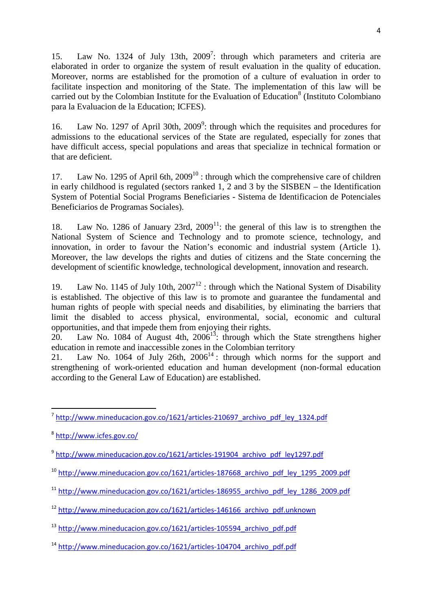15. Law No. 1324 of July 13th, 2009<sup>7</sup>: through which parameters and criteria are elaborated in order to organize the system of result evaluation in the quality of education. Moreover, norms are established for the promotion of a culture of evaluation in order to facilitate inspection and monitoring of the State. The implementation of this law will be carried out by the Colombian Institute for the Evaluation of Education<sup>8</sup> (Instituto Colombiano para la Evaluacion de la Education; ICFES).

16. Law No. 1297 of April 30th, 2009<sup>9</sup>: through which the requisites and procedures for admissions to the educational services of the State are regulated, especially for zones that have difficult access, special populations and areas that specialize in technical formation or that are deficient.

17. Law No. 1295 of April 6th, 2009<sup>10</sup>: through which the comprehensive care of children in early childhood is regulated (sectors ranked 1, 2 and 3 by the SISBEN – the Identification System of Potential Social Programs Beneficiaries - Sistema de Identificacion de Potenciales Beneficiarios de Programas Sociales).

18. Law No. 1286 of January 23rd,  $2009<sup>11</sup>$ : the general of this law is to strengthen the National System of Science and Technology and to promote science, technology, and innovation, in order to favour the Nation's economic and industrial system (Article 1). Moreover, the law develops the rights and duties of citizens and the State concerning the development of scientific knowledge, technological development, innovation and research.

19. Law No. 1145 of July 10th,  $2007^{12}$ : through which the National System of Disability is established. The objective of this law is to promote and guarantee the fundamental and human rights of people with special needs and disabilities, by eliminating the barriers that limit the disabled to access physical, environmental, social, economic and cultural opportunities, and that impede them from enjoying their rights.

20. Law No. 1084 of August 4th, 2006<sup>13</sup>: through which the State strengthens higher education in remote and inaccessible zones in the Colombian territory

21. Law No. 1064 of July 26th,  $2006<sup>14</sup>$ : through which norms for the support and strengthening of work-oriented education and human development (non-formal education according to the General Law of Education) are established.

l

- <sup>10</sup> http://www.mineducacion.gov.co/1621/articles-187668\_archivo\_pdf\_ley\_1295\_2009.pdf
- <sup>11</sup> http://www.mineducacion.gov.co/1621/articles-186955\_archivo\_pdf\_ley\_1286\_2009.pdf
- <sup>12</sup> http://www.mineducacion.gov.co/1621/articles-146166\_archivo\_pdf.unknown

<sup>&</sup>lt;sup>7</sup> http://www.mineducacion.gov.co/1621/articles-210697 archivo pdf ley 1324.pdf

<sup>&</sup>lt;sup>8</sup>http://www.icfes.gov.co/

<sup>&</sup>lt;sup>9</sup> http://www.mineducacion.gov.co/1621/articles-191904\_archivo\_pdf\_ley1297.pdf

<sup>&</sup>lt;sup>13</sup> http://www.mineducacion.gov.co/1621/articles-105594\_archivo\_pdf.pdf

<sup>14</sup> http://www.mineducacion.gov.co/1621/articles-104704\_archivo\_pdf.pdf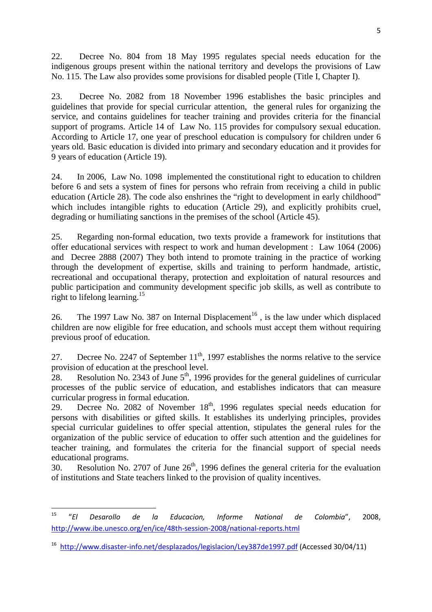22. Decree No. 804 from 18 May 1995 regulates special needs education for the indigenous groups present within the national territory and develops the provisions of Law No. 115. The Law also provides some provisions for disabled people (Title I, Chapter I).

23. Decree No. 2082 from 18 November 1996 establishes the basic principles and guidelines that provide for special curricular attention, the general rules for organizing the service, and contains guidelines for teacher training and provides criteria for the financial support of programs. Article 14 of Law No. 115 provides for compulsory sexual education. According to Article 17, one year of preschool education is compulsory for children under 6 years old. Basic education is divided into primary and secondary education and it provides for 9 years of education (Article 19).

24. In 2006, Law No. 1098 implemented the constitutional right to education to children before 6 and sets a system of fines for persons who refrain from receiving a child in public education (Article 28). The code also enshrines the "right to development in early childhood" which includes intangible rights to education (Article 29), and explicitly prohibits cruel, degrading or humiliating sanctions in the premises of the school (Article 45).

25. Regarding non-formal education, two texts provide a framework for institutions that offer educational services with respect to work and human development : Law 1064 (2006) and Decree 2888 (2007) They both intend to promote training in the practice of working through the development of expertise, skills and training to perform handmade, artistic, recreational and occupational therapy, protection and exploitation of natural resources and public participation and community development specific job skills, as well as contribute to right to lifelong learning.<sup>15</sup>

26. The 1997 Law No. 387 on Internal Displacement<sup>16</sup>, is the law under which displaced children are now eligible for free education, and schools must accept them without requiring previous proof of education.

27. Decree No. 2247 of September  $11<sup>th</sup>$ , 1997 establishes the norms relative to the service provision of education at the preschool level.

28. Resolution No. 2343 of June  $5<sup>th</sup>$ , 1996 provides for the general guidelines of curricular processes of the public service of education, and establishes indicators that can measure curricular progress in formal education.

29. Decree No. 2082 of November 18<sup>th</sup>, 1996 regulates special needs education for persons with disabilities or gifted skills. It establishes its underlying principles, provides special curricular guidelines to offer special attention, stipulates the general rules for the organization of the public service of education to offer such attention and the guidelines for teacher training, and formulates the criteria for the financial support of special needs educational programs.

30. Resolution No. 2707 of June  $26<sup>th</sup>$ , 1996 defines the general criteria for the evaluation of institutions and State teachers linked to the provision of quality incentives.

<sup>15</sup> <sup>15</sup> "El Desarollo de la Educacion, Informe National de Colombia", 2008, http://www.ibe.unesco.org/en/ice/48th-session-2008/national-reports.html

<sup>&</sup>lt;sup>16</sup> http://www.disaster-info.net/desplazados/legislacion/Ley387de1997.pdf (Accessed 30/04/11)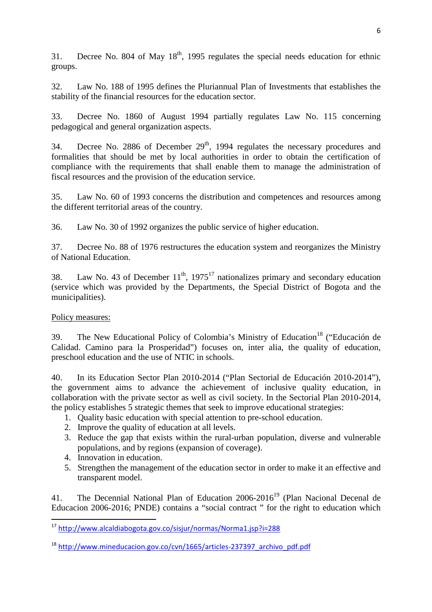31. Decree No. 804 of May  $18<sup>th</sup>$ , 1995 regulates the special needs education for ethnic groups.

32. Law No. 188 of 1995 defines the Pluriannual Plan of Investments that establishes the stability of the financial resources for the education sector.

33. Decree No. 1860 of August 1994 partially regulates Law No. 115 concerning pedagogical and general organization aspects.

34. Decree No. 2886 of December  $29<sup>th</sup>$ , 1994 regulates the necessary procedures and formalities that should be met by local authorities in order to obtain the certification of compliance with the requirements that shall enable them to manage the administration of fiscal resources and the provision of the education service.

35. Law No. 60 of 1993 concerns the distribution and competences and resources among the different territorial areas of the country.

36. Law No. 30 of 1992 organizes the public service of higher education.

37. Decree No. 88 of 1976 restructures the education system and reorganizes the Ministry of National Education.

38. Law No. 43 of December  $11<sup>th</sup>$ , 1975<sup>17</sup> nationalizes primary and secondary education (service which was provided by the Departments, the Special District of Bogota and the municipalities).

### Policy measures:

l

39. The New Educational Policy of Colombia's Ministry of Education<sup>18</sup> ("Educación de Calidad. Camino para la Prosperidad") focuses on, inter alia, the quality of education, preschool education and the use of NTIC in schools.

40. In its Education Sector Plan 2010-2014 ("Plan Sectorial de Educación 2010-2014"), the government aims to advance the achievement of inclusive quality education, in collaboration with the private sector as well as civil society. In the Sectorial Plan 2010-2014, the policy establishes 5 strategic themes that seek to improve educational strategies:

- 1. Quality basic education with special attention to pre-school education.
- 2. Improve the quality of education at all levels.
- 3. Reduce the gap that exists within the rural-urban population, diverse and vulnerable populations, and by regions (expansion of coverage).
- 4. Innovation in education.
- 5. Strengthen the management of the education sector in order to make it an effective and transparent model.

41. The Decennial National Plan of Education 2006-2016<sup>19</sup> (Plan Nacional Decenal de Educacion 2006-2016; PNDE) contains a "social contract " for the right to education which

<sup>&</sup>lt;sup>17</sup> http://www.alcaldiabogota.gov.co/sisjur/normas/Norma1.jsp?i=288

<sup>18</sup> http://www.mineducacion.gov.co/cvn/1665/articles-237397\_archivo\_pdf.pdf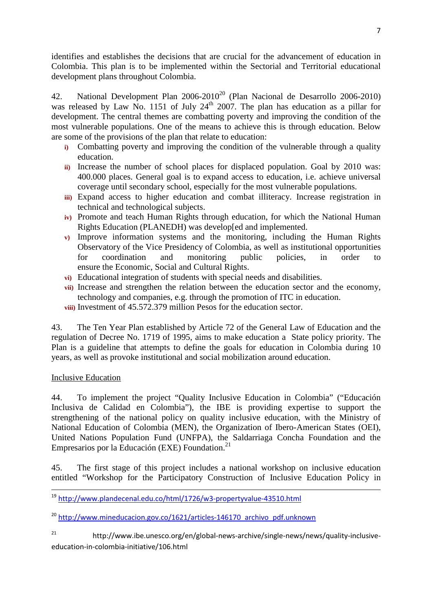identifies and establishes the decisions that are crucial for the advancement of education in Colombia. This plan is to be implemented within the Sectorial and Territorial educational development plans throughout Colombia.

42. National Development Plan  $2006-2010^{20}$  (Plan Nacional de Desarrollo 2006-2010) was released by Law No. 1151 of July  $24<sup>th</sup>$  2007. The plan has education as a pillar for development. The central themes are combatting poverty and improving the condition of the most vulnerable populations. One of the means to achieve this is through education. Below are some of the provisions of the plan that relate to education:

- **i)** Combatting poverty and improving the condition of the vulnerable through a quality education.
- **ii)** Increase the number of school places for displaced population. Goal by 2010 was: 400.000 places. General goal is to expand access to education, i.e. achieve universal coverage until secondary school, especially for the most vulnerable populations.
- **iii)** Expand access to higher education and combat illiteracy. Increase registration in technical and technological subjects.
- **iv)** Promote and teach Human Rights through education, for which the National Human Rights Education (PLANEDH) was develop[ed and implemented.
- **v)** Improve information systems and the monitoring, including the Human Rights Observatory of the Vice Presidency of Colombia, as well as institutional opportunities for coordination and monitoring public policies, in order to ensure the Economic, Social and Cultural Rights.
- **vi)** Educational integration of students with special needs and disabilities.
- **vii)** Increase and strengthen the relation between the education sector and the economy, technology and companies, e.g. through the promotion of ITC in education. **viii)** Investment of 45.572.379 million Pesos for the education sector.

43. The Ten Year Plan established by Article 72 of the General Law of Education and the regulation of Decree No. 1719 of 1995, aims to make education a State policy priority. The Plan is a guideline that attempts to define the goals for education in Colombia during 10 years, as well as provoke institutional and social mobilization around education.

# Inclusive Education

<u>.</u>

44. To implement the project "Quality Inclusive Education in Colombia" ("Educación Inclusiva de Calidad en Colombia"), the IBE is providing expertise to support the strengthening of the national policy on quality inclusive education, with the Ministry of National Education of Colombia (MEN), the Organization of Ibero-American States (OEI), United Nations Population Fund (UNFPA), the Saldarriaga Concha Foundation and the Empresarios por la Educación (EXE) Foundation.<sup>21</sup>

45. The first stage of this project includes a national workshop on inclusive education entitled "Workshop for the Participatory Construction of Inclusive Education Policy in

<sup>19</sup> http://www.plandecenal.edu.co/html/1726/w3-propertyvalue-43510.html

<sup>20</sup> http://www.mineducacion.gov.co/1621/articles-146170\_archivo\_pdf.unknown

<sup>21</sup> http://www.ibe.unesco.org/en/global-news-archive/single-news/news/quality-inclusiveeducation-in-colombia-initiative/106.html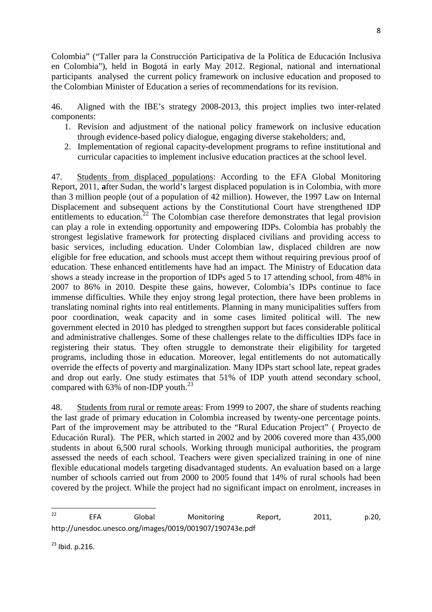Colombia" ("Taller para la Construcción Participativa de la Política de Educación Inclusiva en Colombia"), held in Bogotá in early May 2012. Regional, national and international participants analysed the current policy framework on inclusive education and proposed to the Colombian Minister of Education a series of recommendations for its revision.

46. Aligned with the IBE's strategy 2008-2013, this project implies two inter-related components:

- 1. Revision and adjustment of the national policy framework on inclusive education through evidence-based policy dialogue, engaging diverse stakeholders; and,
- 2. Implementation of regional capacity-development programs to refine institutional and curricular capacities to implement inclusive education practices at the school level.

47. Students from displaced populations: According to the EFA Global Monitoring Report, 2011, **a**fter Sudan, the world's largest displaced population is in Colombia, with more than 3 million people (out of a population of 42 million). However, the 1997 Law on Internal Displacement and subsequent actions by the Constitutional Court have strengthened IDP entitlements to education.<sup>22</sup> The Colombian case therefore demonstrates that legal provision can play a role in extending opportunity and empowering IDPs. Colombia has probably the strongest legislative framework for protecting displaced civilians and providing access to basic services, including education. Under Colombian law, displaced children are now eligible for free education, and schools must accept them without requiring previous proof of education. These enhanced entitlements have had an impact. The Ministry of Education data shows a steady increase in the proportion of IDPs aged 5 to 17 attending school, from 48% in 2007 to 86% in 2010. Despite these gains, however, Colombia's IDPs continue to face immense difficulties. While they enjoy strong legal protection, there have been problems in translating nominal rights into real entitlements. Planning in many municipalities suffers from poor coordination, weak capacity and in some cases limited political will. The new government elected in 2010 has pledged to strengthen support but faces considerable political and administrative challenges. Some of these challenges relate to the difficulties IDPs face in registering their status. They often struggle to demonstrate their eligibility for targeted programs, including those in education. Moreover, legal entitlements do not automatically override the effects of poverty and marginalization. Many IDPs start school late, repeat grades and drop out early. One study estimates that 51% of IDP youth attend secondary school, compared with 63% of non-IDP youth. $^{23}$ 

48. Students from rural or remote areas: From 1999 to 2007, the share of students reaching the last grade of primary education in Colombia increased by twenty-one percentage points. Part of the improvement may be attributed to the "Rural Education Project" ( Proyecto de Educación Rural). The PER, which started in 2002 and by 2006 covered more than 435,000 students in about 6,500 rural schools. Working through municipal authorities, the program assessed the needs of each school. Teachers were given specialized training in one of nine flexible educational models targeting disadvantaged students. An evaluation based on a large number of schools carried out from 2000 to 2005 found that 14% of rural schools had been covered by the project. While the project had no significant impact on enrolment, increases in

 $23$  Ibid. p. 216.

 $22$ <sup>22</sup> EFA Global Monitoring Report, 2011, p.20, http://unesdoc.unesco.org/images/0019/001907/190743e.pdf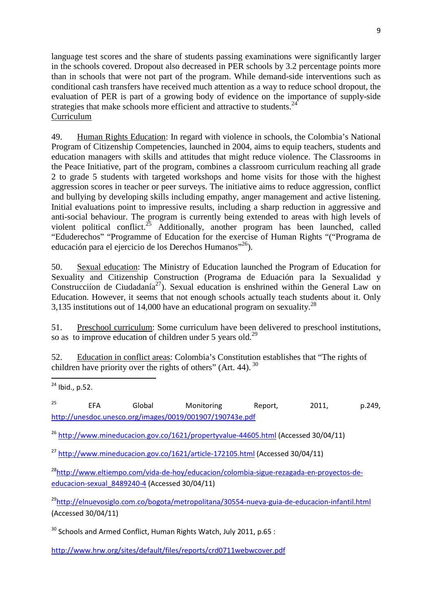language test scores and the share of students passing examinations were significantly larger in the schools covered. Dropout also decreased in PER schools by 3.2 percentage points more than in schools that were not part of the program. While demand-side interventions such as conditional cash transfers have received much attention as a way to reduce school dropout, the evaluation of PER is part of a growing body of evidence on the importance of supply-side strategies that make schools more efficient and attractive to students.<sup>2</sup> Curriculum

49. Human Rights Education: In regard with violence in schools, the Colombia's National Program of Citizenship Competencies, launched in 2004, aims to equip teachers, students and education managers with skills and attitudes that might reduce violence. The Classrooms in the Peace Initiative, part of the program, combines a classroom curriculum reaching all grade 2 to grade 5 students with targeted workshops and home visits for those with the highest aggression scores in teacher or peer surveys. The initiative aims to reduce aggression, conflict and bullying by developing skills including empathy, anger management and active listening. Initial evaluations point to impressive results, including a sharp reduction in aggressive and anti-social behaviour. The program is currently being extended to areas with high levels of violent political conflict.<sup>25</sup> Additionally, another program has been launched, called "Eduderechos" "Programme of Education for the exercise of Human Rights "("Programa de educación para el ejercicio de los Derechos Humanos"<sup>26</sup>).

50. Sexual education: The Ministry of Education launched the Program of Education for Sexuality and Citizenship Construction (Programa de Eduación para la Sexualidad y Construcciíon de Ciudadanía<sup>27</sup>). Sexual education is enshrined within the General Law on Education. However, it seems that not enough schools actually teach students about it. Only 3,135 institutions out of 14,000 have an educational program on sexuality.<sup>28</sup>

51. Preschool curriculum: Some curriculum have been delivered to preschool institutions, so as to improve education of children under 5 years old.<sup>29</sup>

52. Education in conflict areas: Colombia's Constitution establishes that "The rights of children have priority over the rights of others" (Art. 44).  $30$ 

 $\overline{\phantom{a}}$  $^{24}$  Ibid., p.52.

<sup>25</sup> EFA Global Monitoring Report, 2011, p.249, http://unesdoc.unesco.org/images/0019/001907/190743e.pdf

<sup>26</sup> http://www.mineducacion.gov.co/1621/propertyvalue-44605.html (Accessed 30/04/11)

<sup>27</sup> http://www.mineducacion.gov.co/1621/article-172105.html (Accessed 30/04/11)

<sup>28</sup>http://www.eltiempo.com/vida-de-hoy/educacion/colombia-sigue-rezagada-en-proyectos-deeducacion-sexual\_8489240-4 (Accessed 30/04/11)

<sup>29</sup>http://elnuevosiglo.com.co/bogota/metropolitana/30554-nueva-guia-de-educacion-infantil.html (Accessed 30/04/11)

 $30$  Schools and Armed Conflict, Human Rights Watch, July 2011, p.65 :

http://www.hrw.org/sites/default/files/reports/crd0711webwcover.pdf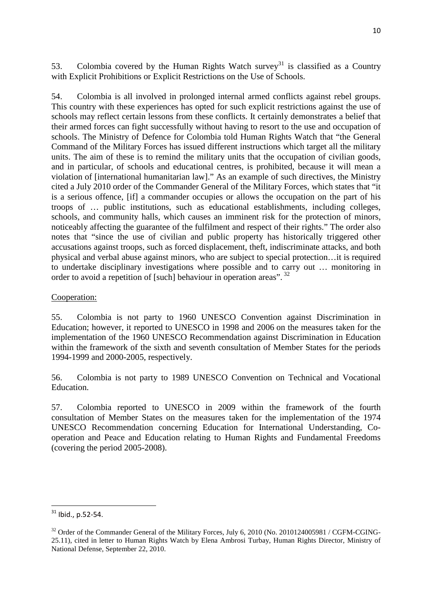53. Colombia covered by the Human Rights Watch survey<sup>31</sup> is classified as a Country with Explicit Prohibitions or Explicit Restrictions on the Use of Schools.

54. Colombia is all involved in prolonged internal armed conflicts against rebel groups. This country with these experiences has opted for such explicit restrictions against the use of schools may reflect certain lessons from these conflicts. It certainly demonstrates a belief that their armed forces can fight successfully without having to resort to the use and occupation of schools. The Ministry of Defence for Colombia told Human Rights Watch that "the General Command of the Military Forces has issued different instructions which target all the military units. The aim of these is to remind the military units that the occupation of civilian goods, and in particular, of schools and educational centres, is prohibited, because it will mean a violation of [international humanitarian law]." As an example of such directives, the Ministry cited a July 2010 order of the Commander General of the Military Forces, which states that "it is a serious offence, [if] a commander occupies or allows the occupation on the part of his troops of … public institutions, such as educational establishments, including colleges, schools, and community halls, which causes an imminent risk for the protection of minors, noticeably affecting the guarantee of the fulfilment and respect of their rights." The order also notes that "since the use of civilian and public property has historically triggered other accusations against troops, such as forced displacement, theft, indiscriminate attacks, and both physical and verbal abuse against minors, who are subject to special protection…it is required to undertake disciplinary investigations where possible and to carry out … monitoring in order to avoid a repetition of [such] behaviour in operation areas".<sup>32</sup>

### Cooperation:

55. Colombia is not party to 1960 UNESCO Convention against Discrimination in Education; however, it reported to UNESCO in 1998 and 2006 on the measures taken for the implementation of the 1960 UNESCO Recommendation against Discrimination in Education within the framework of the sixth and seventh consultation of Member States for the periods 1994-1999 and 2000-2005, respectively.

56. Colombia is not party to 1989 UNESCO Convention on Technical and Vocational Education.

57. Colombia reported to UNESCO in 2009 within the framework of the fourth consultation of Member States on the measures taken for the implementation of the 1974 UNESCO Recommendation concerning Education for International Understanding, Cooperation and Peace and Education relating to Human Rights and Fundamental Freedoms (covering the period 2005-2008).

<sup>31</sup> Ibid., p.52-54.

<sup>&</sup>lt;sup>32</sup> Order of the Commander General of the Military Forces, July 6, 2010 (No. 2010124005981 / CGFM-CGING-25.11), cited in letter to Human Rights Watch by Elena Ambrosi Turbay, Human Rights Director, Ministry of National Defense, September 22, 2010.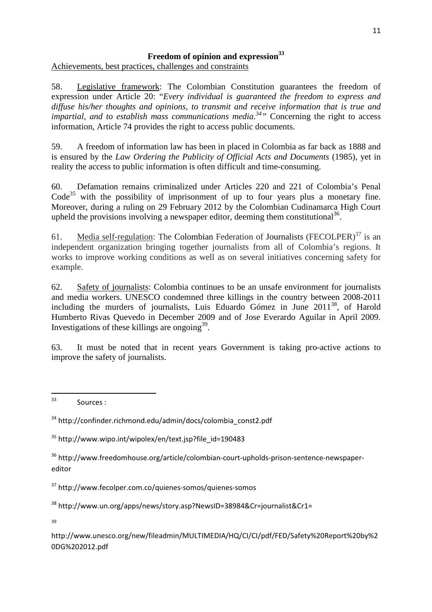# **Freedom of opinion and expression<sup>33</sup>**

Achievements, best practices, challenges and constraints

58. Legislative framework: The Colombian Constitution guarantees the freedom of expression under Article 20: "*Every individual is guaranteed the freedom to express and diffuse his/her thoughts and opinions, to transmit and receive information that is true and impartial, and to establish mass communications media.*<sup>34</sup> Concerning the right to access information, Article 74 provides the right to access public documents.

59. A freedom of information law has been in placed in Colombia as far back as 1888 and is ensured by the *Law Ordering the Publicity of Official Acts and Documents* (1985), yet in reality the access to public information is often difficult and time-consuming.

60. Defamation remains criminalized under Articles 220 and 221 of Colombia's Penal  $Code<sup>35</sup>$  with the possibility of imprisonment of up to four years plus a monetary fine. Moreover, during a ruling on 29 February 2012 by the Colombian Cudinamarca High Court upheld the provisions involving a newspaper editor, deeming them constitutional<sup>36</sup>.

61. Media self-regulation: The Colombian Federation of Journalists (FECOLPER) $37$  is an independent organization bringing together journalists from all of Colombia's regions. It works to improve working conditions as well as on several initiatives concerning safety for example.

62. Safety of journalists: Colombia continues to be an unsafe environment for journalists and media workers. UNESCO condemned three killings in the country between 2008-2011 including the murders of journalists, Luis Eduardo Gómez in June 2011<sup>38</sup>, of Harold Humberto Rivas Quevedo in December 2009 and of Jose Everardo Aguilar in April 2009. Investigations of these killings are ongoing $39$ .

63. It must be noted that in recent years Government is taking pro-active actions to improve the safety of journalists.

<sup>38</sup> http://www.un.org/apps/news/story.asp?NewsID=38984&Cr=journalist&Cr1=

39

http://www.unesco.org/new/fileadmin/MULTIMEDIA/HQ/CI/CI/pdf/FED/Safety%20Report%20by%2 0DG%202012.pdf

<sup>33</sup> Sources :

<sup>&</sup>lt;sup>34</sup> http://confinder.richmond.edu/admin/docs/colombia\_const2.pdf

<sup>35</sup> http://www.wipo.int/wipolex/en/text.jsp?file\_id=190483

<sup>36</sup> http://www.freedomhouse.org/article/colombian-court-upholds-prison-sentence-newspapereditor

<sup>37</sup> http://www.fecolper.com.co/quienes-somos/quienes-somos